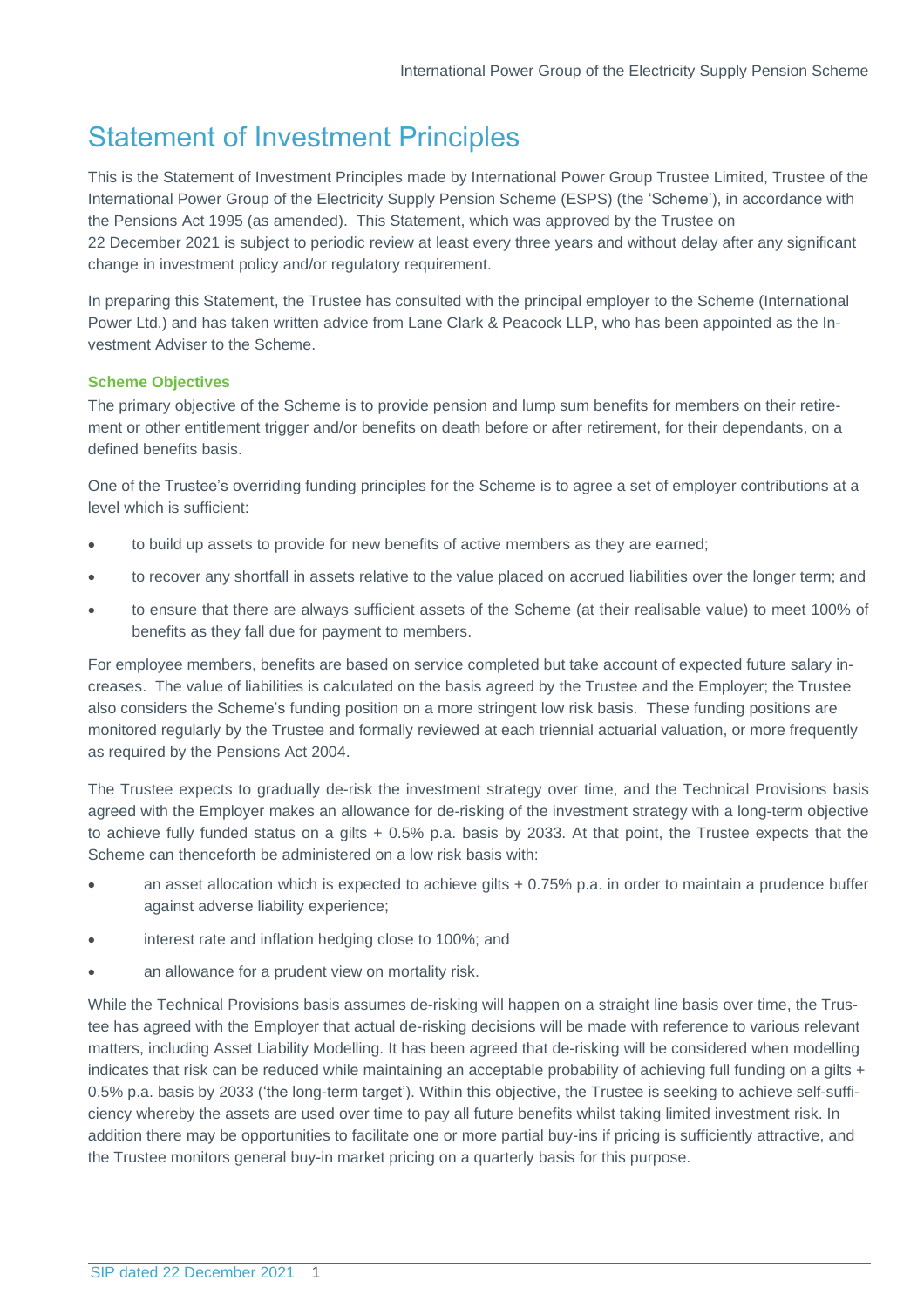# Statement of Investment Principles

This is the Statement of Investment Principles made by International Power Group Trustee Limited, Trustee of the International Power Group of the Electricity Supply Pension Scheme (ESPS) (the 'Scheme'), in accordance with the Pensions Act 1995 (as amended). This Statement, which was approved by the Trustee on 22 December 2021 is subject to periodic review at least every three years and without delay after any significant change in investment policy and/or regulatory requirement.

In preparing this Statement, the Trustee has consulted with the principal employer to the Scheme (International Power Ltd.) and has taken written advice from Lane Clark & Peacock LLP, who has been appointed as the Investment Adviser to the Scheme.

# **Scheme Objectives**

The primary objective of the Scheme is to provide pension and lump sum benefits for members on their retirement or other entitlement trigger and/or benefits on death before or after retirement, for their dependants, on a defined benefits basis.

One of the Trustee's overriding funding principles for the Scheme is to agree a set of employer contributions at a level which is sufficient:

- to build up assets to provide for new benefits of active members as they are earned;
- to recover any shortfall in assets relative to the value placed on accrued liabilities over the longer term; and
- to ensure that there are always sufficient assets of the Scheme (at their realisable value) to meet 100% of benefits as they fall due for payment to members.

For employee members, benefits are based on service completed but take account of expected future salary increases. The value of liabilities is calculated on the basis agreed by the Trustee and the Employer; the Trustee also considers the Scheme's funding position on a more stringent low risk basis. These funding positions are monitored regularly by the Trustee and formally reviewed at each triennial actuarial valuation, or more frequently as required by the Pensions Act 2004.

The Trustee expects to gradually de-risk the investment strategy over time, and the Technical Provisions basis agreed with the Employer makes an allowance for de-risking of the investment strategy with a long-term objective to achieve fully funded status on a gilts + 0.5% p.a. basis by 2033. At that point, the Trustee expects that the Scheme can thenceforth be administered on a low risk basis with:

- an asset allocation which is expected to achieve gilts  $+0.75\%$  p.a. in order to maintain a prudence buffer against adverse liability experience;
- interest rate and inflation hedging close to 100%; and
- an allowance for a prudent view on mortality risk.

While the Technical Provisions basis assumes de-risking will happen on a straight line basis over time, the Trustee has agreed with the Employer that actual de-risking decisions will be made with reference to various relevant matters, including Asset Liability Modelling. It has been agreed that de-risking will be considered when modelling indicates that risk can be reduced while maintaining an acceptable probability of achieving full funding on a gilts + 0.5% p.a. basis by 2033 ('the long-term target'). Within this objective, the Trustee is seeking to achieve self-sufficiency whereby the assets are used over time to pay all future benefits whilst taking limited investment risk. In addition there may be opportunities to facilitate one or more partial buy-ins if pricing is sufficiently attractive, and the Trustee monitors general buy-in market pricing on a quarterly basis for this purpose.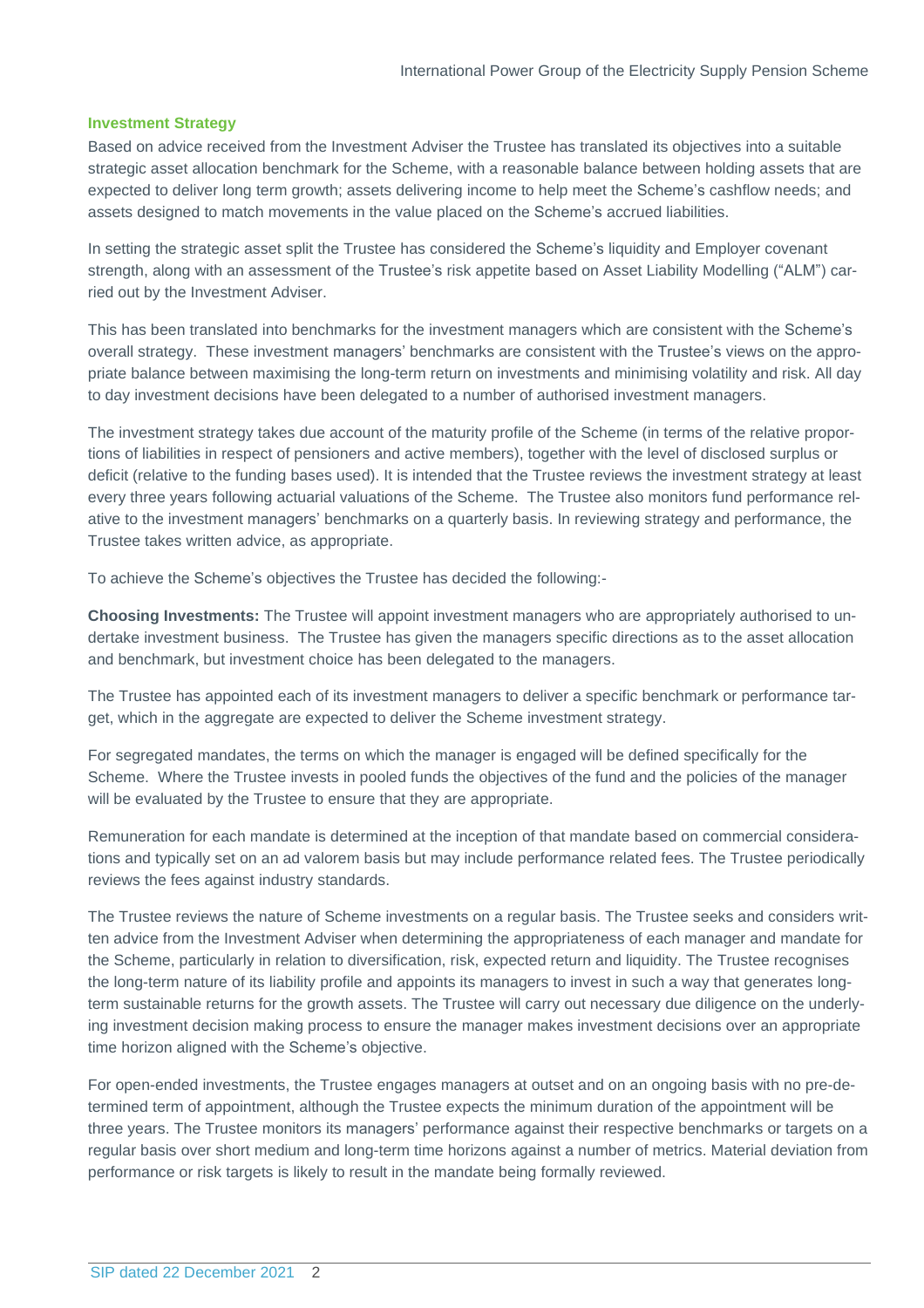### **Investment Strategy**

Based on advice received from the Investment Adviser the Trustee has translated its objectives into a suitable strategic asset allocation benchmark for the Scheme, with a reasonable balance between holding assets that are expected to deliver long term growth; assets delivering income to help meet the Scheme's cashflow needs; and assets designed to match movements in the value placed on the Scheme's accrued liabilities.

In setting the strategic asset split the Trustee has considered the Scheme's liquidity and Employer covenant strength, along with an assessment of the Trustee's risk appetite based on Asset Liability Modelling ("ALM") carried out by the Investment Adviser.

This has been translated into benchmarks for the investment managers which are consistent with the Scheme's overall strategy. These investment managers' benchmarks are consistent with the Trustee's views on the appropriate balance between maximising the long-term return on investments and minimising volatility and risk. All day to day investment decisions have been delegated to a number of authorised investment managers.

The investment strategy takes due account of the maturity profile of the Scheme (in terms of the relative proportions of liabilities in respect of pensioners and active members), together with the level of disclosed surplus or deficit (relative to the funding bases used). It is intended that the Trustee reviews the investment strategy at least every three years following actuarial valuations of the Scheme. The Trustee also monitors fund performance relative to the investment managers' benchmarks on a quarterly basis. In reviewing strategy and performance, the Trustee takes written advice, as appropriate.

To achieve the Scheme's objectives the Trustee has decided the following:-

**Choosing Investments:** The Trustee will appoint investment managers who are appropriately authorised to undertake investment business. The Trustee has given the managers specific directions as to the asset allocation and benchmark, but investment choice has been delegated to the managers.

The Trustee has appointed each of its investment managers to deliver a specific benchmark or performance target, which in the aggregate are expected to deliver the Scheme investment strategy.

For segregated mandates, the terms on which the manager is engaged will be defined specifically for the Scheme. Where the Trustee invests in pooled funds the objectives of the fund and the policies of the manager will be evaluated by the Trustee to ensure that they are appropriate.

Remuneration for each mandate is determined at the inception of that mandate based on commercial considerations and typically set on an ad valorem basis but may include performance related fees. The Trustee periodically reviews the fees against industry standards.

The Trustee reviews the nature of Scheme investments on a regular basis. The Trustee seeks and considers written advice from the Investment Adviser when determining the appropriateness of each manager and mandate for the Scheme, particularly in relation to diversification, risk, expected return and liquidity. The Trustee recognises the long-term nature of its liability profile and appoints its managers to invest in such a way that generates longterm sustainable returns for the growth assets. The Trustee will carry out necessary due diligence on the underlying investment decision making process to ensure the manager makes investment decisions over an appropriate time horizon aligned with the Scheme's objective.

For open-ended investments, the Trustee engages managers at outset and on an ongoing basis with no pre-determined term of appointment, although the Trustee expects the minimum duration of the appointment will be three years. The Trustee monitors its managers' performance against their respective benchmarks or targets on a regular basis over short medium and long-term time horizons against a number of metrics. Material deviation from performance or risk targets is likely to result in the mandate being formally reviewed.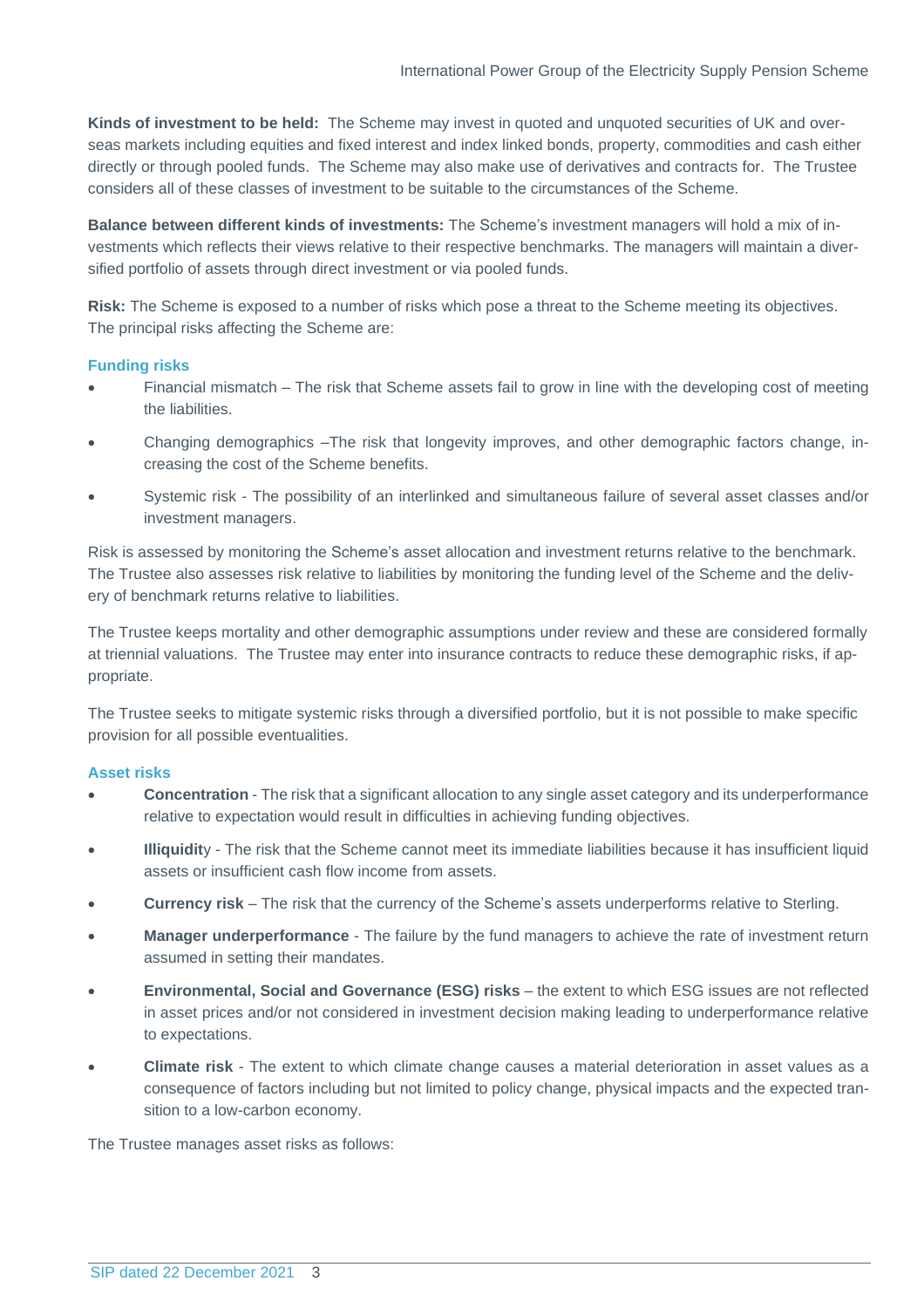**Kinds of investment to be held:** The Scheme may invest in quoted and unquoted securities of UK and overseas markets including equities and fixed interest and index linked bonds, property, commodities and cash either directly or through pooled funds. The Scheme may also make use of derivatives and contracts for. The Trustee considers all of these classes of investment to be suitable to the circumstances of the Scheme.

**Balance between different kinds of investments:** The Scheme's investment managers will hold a mix of investments which reflects their views relative to their respective benchmarks. The managers will maintain a diversified portfolio of assets through direct investment or via pooled funds.

**Risk:** The Scheme is exposed to a number of risks which pose a threat to the Scheme meeting its objectives. The principal risks affecting the Scheme are:

## **Funding risks**

- Financial mismatch The risk that Scheme assets fail to grow in line with the developing cost of meeting the liabilities.
- Changing demographics –The risk that longevity improves, and other demographic factors change, increasing the cost of the Scheme benefits.
- Systemic risk The possibility of an interlinked and simultaneous failure of several asset classes and/or investment managers.

Risk is assessed by monitoring the Scheme's asset allocation and investment returns relative to the benchmark. The Trustee also assesses risk relative to liabilities by monitoring the funding level of the Scheme and the delivery of benchmark returns relative to liabilities.

The Trustee keeps mortality and other demographic assumptions under review and these are considered formally at triennial valuations. The Trustee may enter into insurance contracts to reduce these demographic risks, if appropriate.

The Trustee seeks to mitigate systemic risks through a diversified portfolio, but it is not possible to make specific provision for all possible eventualities.

### **Asset risks**

- **Concentration** The risk that a significant allocation to any single asset category and its underperformance relative to expectation would result in difficulties in achieving funding objectives.
- **Illiquidit**y The risk that the Scheme cannot meet its immediate liabilities because it has insufficient liquid assets or insufficient cash flow income from assets.
- **Currency risk** The risk that the currency of the Scheme's assets underperforms relative to Sterling.
- **Manager underperformance** The failure by the fund managers to achieve the rate of investment return assumed in setting their mandates.
- **Environmental, Social and Governance (ESG) risks** the extent to which ESG issues are not reflected in asset prices and/or not considered in investment decision making leading to underperformance relative to expectations.
- **Climate risk** The extent to which climate change causes a material deterioration in asset values as a consequence of factors including but not limited to policy change, physical impacts and the expected transition to a low-carbon economy.

The Trustee manages asset risks as follows: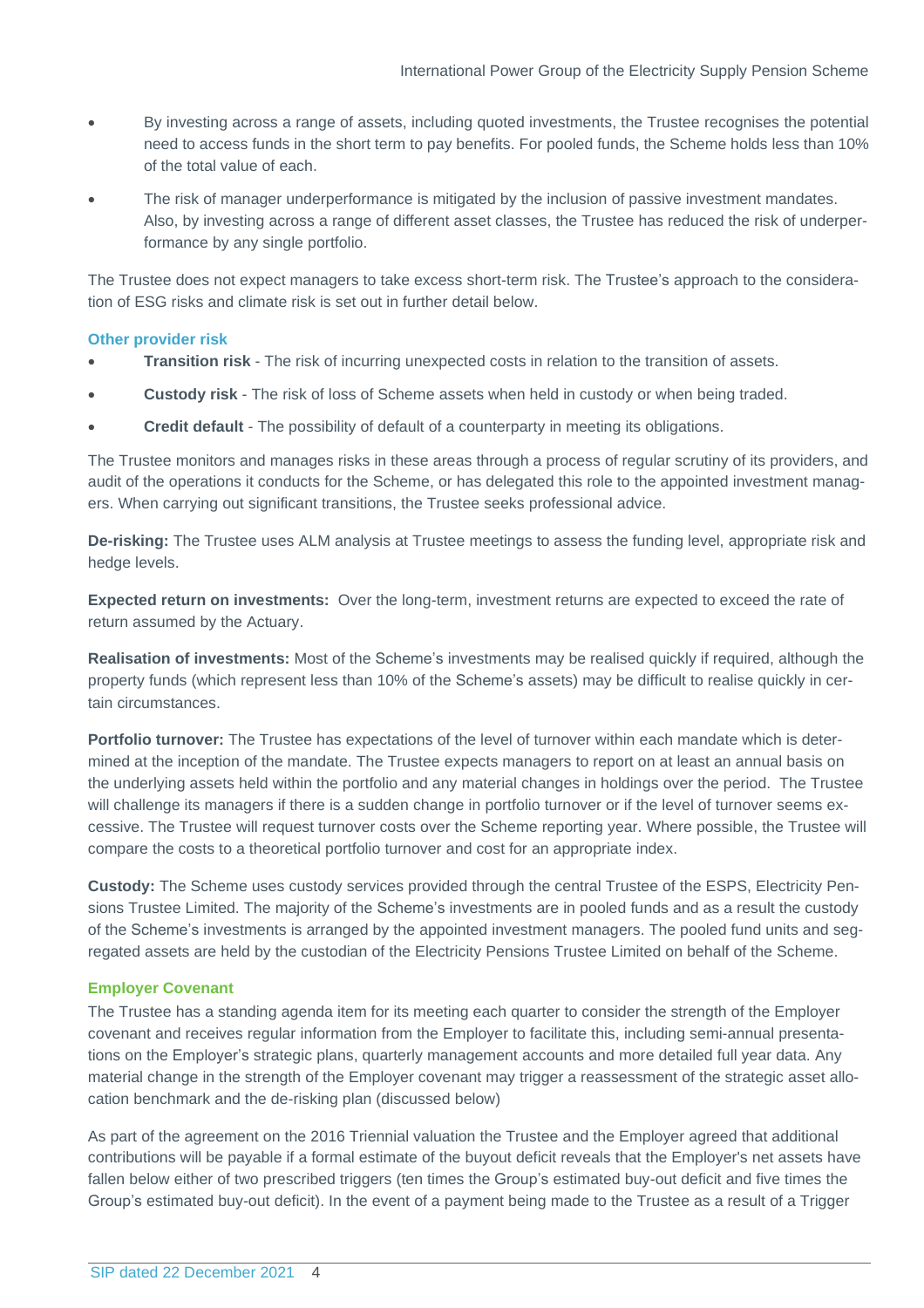- By investing across a range of assets, including quoted investments, the Trustee recognises the potential need to access funds in the short term to pay benefits. For pooled funds, the Scheme holds less than 10% of the total value of each.
- The risk of manager underperformance is mitigated by the inclusion of passive investment mandates. Also, by investing across a range of different asset classes, the Trustee has reduced the risk of underperformance by any single portfolio.

The Trustee does not expect managers to take excess short-term risk. The Trustee's approach to the consideration of ESG risks and climate risk is set out in further detail below.

### **Other provider risk**

- **Transition risk** The risk of incurring unexpected costs in relation to the transition of assets.
- **Custody risk** The risk of loss of Scheme assets when held in custody or when being traded.
- **Credit default** The possibility of default of a counterparty in meeting its obligations.

The Trustee monitors and manages risks in these areas through a process of regular scrutiny of its providers, and audit of the operations it conducts for the Scheme, or has delegated this role to the appointed investment managers. When carrying out significant transitions, the Trustee seeks professional advice.

**De-risking:** The Trustee uses ALM analysis at Trustee meetings to assess the funding level, appropriate risk and hedge levels.

**Expected return on investments:** Over the long-term, investment returns are expected to exceed the rate of return assumed by the Actuary.

**Realisation of investments:** Most of the Scheme's investments may be realised quickly if required, although the property funds (which represent less than 10% of the Scheme's assets) may be difficult to realise quickly in certain circumstances.

**Portfolio turnover:** The Trustee has expectations of the level of turnover within each mandate which is determined at the inception of the mandate. The Trustee expects managers to report on at least an annual basis on the underlying assets held within the portfolio and any material changes in holdings over the period. The Trustee will challenge its managers if there is a sudden change in portfolio turnover or if the level of turnover seems excessive. The Trustee will request turnover costs over the Scheme reporting year. Where possible, the Trustee will compare the costs to a theoretical portfolio turnover and cost for an appropriate index.

**Custody:** The Scheme uses custody services provided through the central Trustee of the ESPS, Electricity Pensions Trustee Limited. The majority of the Scheme's investments are in pooled funds and as a result the custody of the Scheme's investments is arranged by the appointed investment managers. The pooled fund units and segregated assets are held by the custodian of the Electricity Pensions Trustee Limited on behalf of the Scheme.

### **Employer Covenant**

The Trustee has a standing agenda item for its meeting each quarter to consider the strength of the Employer covenant and receives regular information from the Employer to facilitate this, including semi-annual presentations on the Employer's strategic plans, quarterly management accounts and more detailed full year data. Any material change in the strength of the Employer covenant may trigger a reassessment of the strategic asset allocation benchmark and the de-risking plan (discussed below)

As part of the agreement on the 2016 Triennial valuation the Trustee and the Employer agreed that additional contributions will be payable if a formal estimate of the buyout deficit reveals that the Employer's net assets have fallen below either of two prescribed triggers (ten times the Group's estimated buy-out deficit and five times the Group's estimated buy-out deficit). In the event of a payment being made to the Trustee as a result of a Trigger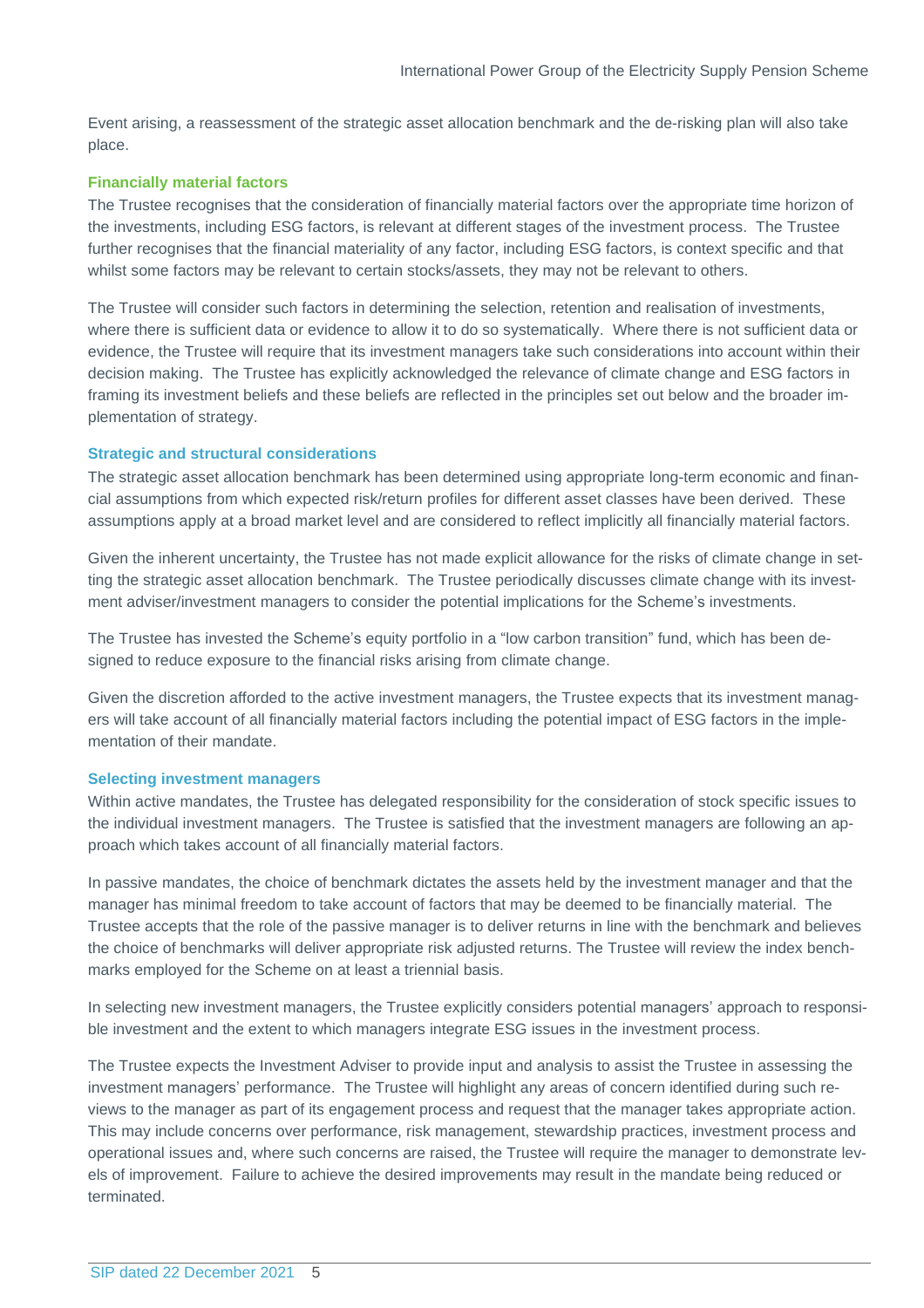Event arising, a reassessment of the strategic asset allocation benchmark and the de-risking plan will also take place.

### **Financially material factors**

The Trustee recognises that the consideration of financially material factors over the appropriate time horizon of the investments, including ESG factors, is relevant at different stages of the investment process. The Trustee further recognises that the financial materiality of any factor, including ESG factors, is context specific and that whilst some factors may be relevant to certain stocks/assets, they may not be relevant to others.

The Trustee will consider such factors in determining the selection, retention and realisation of investments, where there is sufficient data or evidence to allow it to do so systematically. Where there is not sufficient data or evidence, the Trustee will require that its investment managers take such considerations into account within their decision making. The Trustee has explicitly acknowledged the relevance of climate change and ESG factors in framing its investment beliefs and these beliefs are reflected in the principles set out below and the broader implementation of strategy.

#### **Strategic and structural considerations**

The strategic asset allocation benchmark has been determined using appropriate long-term economic and financial assumptions from which expected risk/return profiles for different asset classes have been derived. These assumptions apply at a broad market level and are considered to reflect implicitly all financially material factors.

Given the inherent uncertainty, the Trustee has not made explicit allowance for the risks of climate change in setting the strategic asset allocation benchmark. The Trustee periodically discusses climate change with its investment adviser/investment managers to consider the potential implications for the Scheme's investments.

The Trustee has invested the Scheme's equity portfolio in a "low carbon transition" fund, which has been designed to reduce exposure to the financial risks arising from climate change.

Given the discretion afforded to the active investment managers, the Trustee expects that its investment managers will take account of all financially material factors including the potential impact of ESG factors in the implementation of their mandate.

#### **Selecting investment managers**

Within active mandates, the Trustee has delegated responsibility for the consideration of stock specific issues to the individual investment managers. The Trustee is satisfied that the investment managers are following an approach which takes account of all financially material factors.

In passive mandates, the choice of benchmark dictates the assets held by the investment manager and that the manager has minimal freedom to take account of factors that may be deemed to be financially material. The Trustee accepts that the role of the passive manager is to deliver returns in line with the benchmark and believes the choice of benchmarks will deliver appropriate risk adjusted returns. The Trustee will review the index benchmarks employed for the Scheme on at least a triennial basis.

In selecting new investment managers, the Trustee explicitly considers potential managers' approach to responsible investment and the extent to which managers integrate ESG issues in the investment process.

The Trustee expects the Investment Adviser to provide input and analysis to assist the Trustee in assessing the investment managers' performance. The Trustee will highlight any areas of concern identified during such reviews to the manager as part of its engagement process and request that the manager takes appropriate action. This may include concerns over performance, risk management, stewardship practices, investment process and operational issues and, where such concerns are raised, the Trustee will require the manager to demonstrate levels of improvement. Failure to achieve the desired improvements may result in the mandate being reduced or terminated.